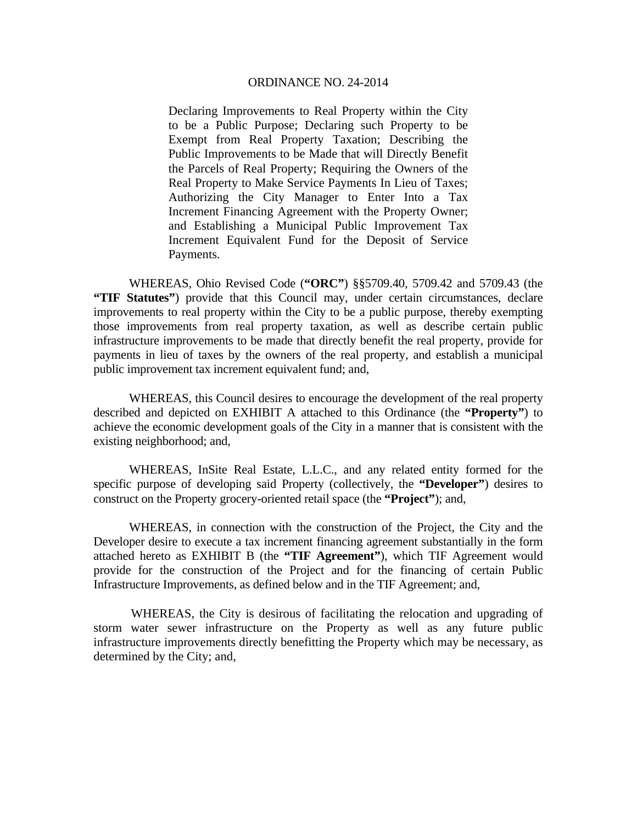Declaring Improvements to Real Property within the City to be a Public Purpose; Declaring such Property to be Exempt from Real Property Taxation; Describing the Public Improvements to be Made that will Directly Benefit the Parcels of Real Property; Requiring the Owners of the Real Property to Make Service Payments In Lieu of Taxes; Authorizing the City Manager to Enter Into a Tax Increment Financing Agreement with the Property Owner; and Establishing a Municipal Public Improvement Tax Increment Equivalent Fund for the Deposit of Service Payments.

 WHEREAS, Ohio Revised Code (**"ORC"**) §§5709.40, 5709.42 and 5709.43 (the **"TIF Statutes"**) provide that this Council may, under certain circumstances, declare improvements to real property within the City to be a public purpose, thereby exempting those improvements from real property taxation, as well as describe certain public infrastructure improvements to be made that directly benefit the real property, provide for payments in lieu of taxes by the owners of the real property, and establish a municipal public improvement tax increment equivalent fund; and,

 WHEREAS, this Council desires to encourage the development of the real property described and depicted on EXHIBIT A attached to this Ordinance (the **"Property"**) to achieve the economic development goals of the City in a manner that is consistent with the existing neighborhood; and,

 WHEREAS, InSite Real Estate, L.L.C., and any related entity formed for the specific purpose of developing said Property (collectively, the **"Developer"**) desires to construct on the Property grocery-oriented retail space (the **"Project"**); and,

 WHEREAS, in connection with the construction of the Project, the City and the Developer desire to execute a tax increment financing agreement substantially in the form attached hereto as EXHIBIT B (the **"TIF Agreement"**), which TIF Agreement would provide for the construction of the Project and for the financing of certain Public Infrastructure Improvements, as defined below and in the TIF Agreement; and,

 WHEREAS, the City is desirous of facilitating the relocation and upgrading of storm water sewer infrastructure on the Property as well as any future public infrastructure improvements directly benefitting the Property which may be necessary, as determined by the City; and,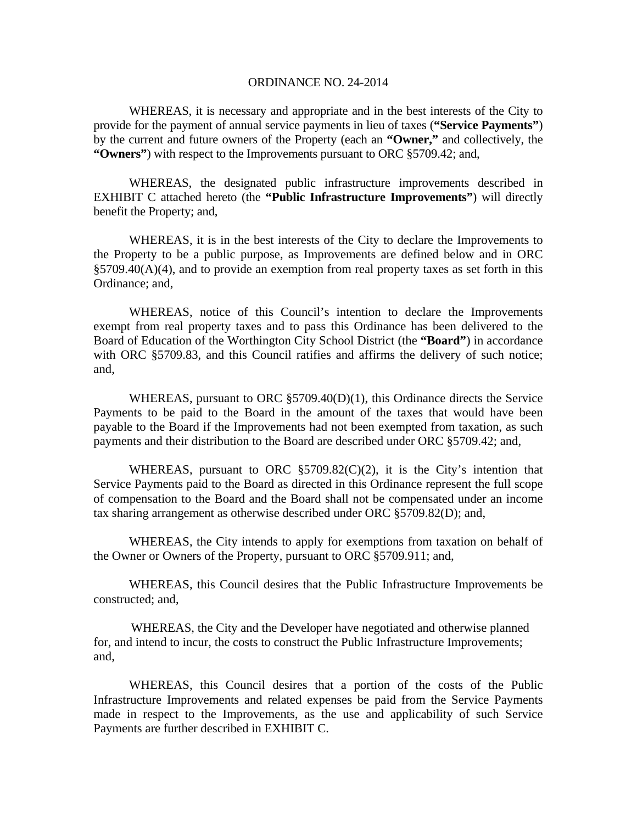WHEREAS, it is necessary and appropriate and in the best interests of the City to provide for the payment of annual service payments in lieu of taxes (**"Service Payments"**) by the current and future owners of the Property (each an **"Owner,"** and collectively, the **"Owners"**) with respect to the Improvements pursuant to ORC §5709.42; and,

 WHEREAS, the designated public infrastructure improvements described in EXHIBIT C attached hereto (the **"Public Infrastructure Improvements"**) will directly benefit the Property; and,

 WHEREAS, it is in the best interests of the City to declare the Improvements to the Property to be a public purpose, as Improvements are defined below and in ORC §5709.40(A)(4), and to provide an exemption from real property taxes as set forth in this Ordinance; and,

 WHEREAS, notice of this Council's intention to declare the Improvements exempt from real property taxes and to pass this Ordinance has been delivered to the Board of Education of the Worthington City School District (the **"Board"**) in accordance with ORC §5709.83, and this Council ratifies and affirms the delivery of such notice; and,

 WHEREAS, pursuant to ORC §5709.40(D)(1), this Ordinance directs the Service Payments to be paid to the Board in the amount of the taxes that would have been payable to the Board if the Improvements had not been exempted from taxation, as such payments and their distribution to the Board are described under ORC §5709.42; and,

 WHEREAS, pursuant to ORC §5709.82(C)(2), it is the City's intention that Service Payments paid to the Board as directed in this Ordinance represent the full scope of compensation to the Board and the Board shall not be compensated under an income tax sharing arrangement as otherwise described under ORC §5709.82(D); and,

 WHEREAS, the City intends to apply for exemptions from taxation on behalf of the Owner or Owners of the Property, pursuant to ORC §5709.911; and,

 WHEREAS, this Council desires that the Public Infrastructure Improvements be constructed; and,

 WHEREAS, the City and the Developer have negotiated and otherwise planned for, and intend to incur, the costs to construct the Public Infrastructure Improvements; and,

 WHEREAS, this Council desires that a portion of the costs of the Public Infrastructure Improvements and related expenses be paid from the Service Payments made in respect to the Improvements, as the use and applicability of such Service Payments are further described in EXHIBIT C.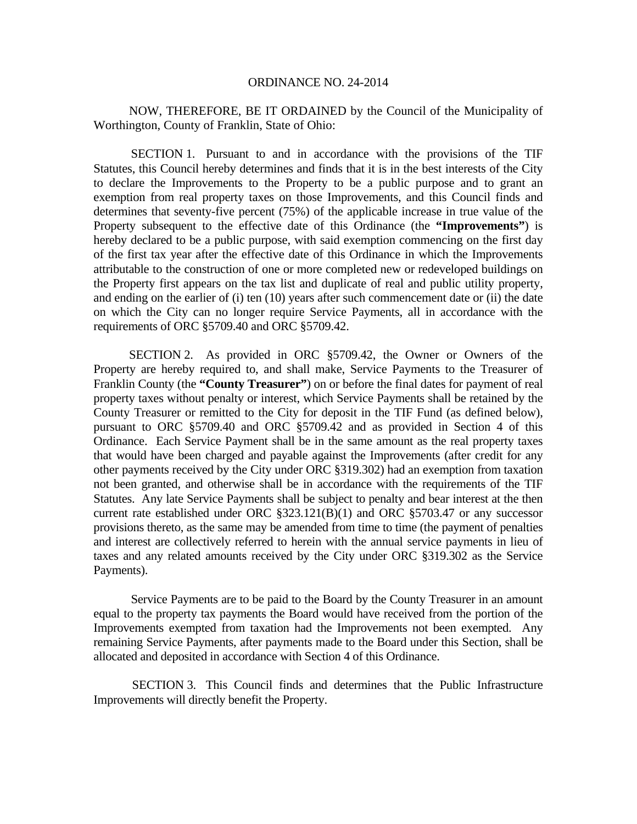NOW, THEREFORE, BE IT ORDAINED by the Council of the Municipality of Worthington, County of Franklin, State of Ohio:

 SECTION 1. Pursuant to and in accordance with the provisions of the TIF Statutes, this Council hereby determines and finds that it is in the best interests of the City to declare the Improvements to the Property to be a public purpose and to grant an exemption from real property taxes on those Improvements, and this Council finds and determines that seventy-five percent (75%) of the applicable increase in true value of the Property subsequent to the effective date of this Ordinance (the **"Improvements"**) is hereby declared to be a public purpose, with said exemption commencing on the first day of the first tax year after the effective date of this Ordinance in which the Improvements attributable to the construction of one or more completed new or redeveloped buildings on the Property first appears on the tax list and duplicate of real and public utility property, and ending on the earlier of (i) ten (10) years after such commencement date or (ii) the date on which the City can no longer require Service Payments, all in accordance with the requirements of ORC §5709.40 and ORC §5709.42.

 SECTION 2. As provided in ORC §5709.42, the Owner or Owners of the Property are hereby required to, and shall make, Service Payments to the Treasurer of Franklin County (the "**County Treasurer**") on or before the final dates for payment of real property taxes without penalty or interest, which Service Payments shall be retained by the County Treasurer or remitted to the City for deposit in the TIF Fund (as defined below), pursuant to ORC §5709.40 and ORC §5709.42 and as provided in Section 4 of this Ordinance. Each Service Payment shall be in the same amount as the real property taxes that would have been charged and payable against the Improvements (after credit for any other payments received by the City under ORC §319.302) had an exemption from taxation not been granted, and otherwise shall be in accordance with the requirements of the TIF Statutes. Any late Service Payments shall be subject to penalty and bear interest at the then current rate established under ORC §323.121(B)(1) and ORC §5703.47 or any successor provisions thereto, as the same may be amended from time to time (the payment of penalties and interest are collectively referred to herein with the annual service payments in lieu of taxes and any related amounts received by the City under ORC §319.302 as the Service Payments).

 Service Payments are to be paid to the Board by the County Treasurer in an amount equal to the property tax payments the Board would have received from the portion of the Improvements exempted from taxation had the Improvements not been exempted. Any remaining Service Payments, after payments made to the Board under this Section, shall be allocated and deposited in accordance with Section 4 of this Ordinance.

 SECTION 3. This Council finds and determines that the Public Infrastructure Improvements will directly benefit the Property.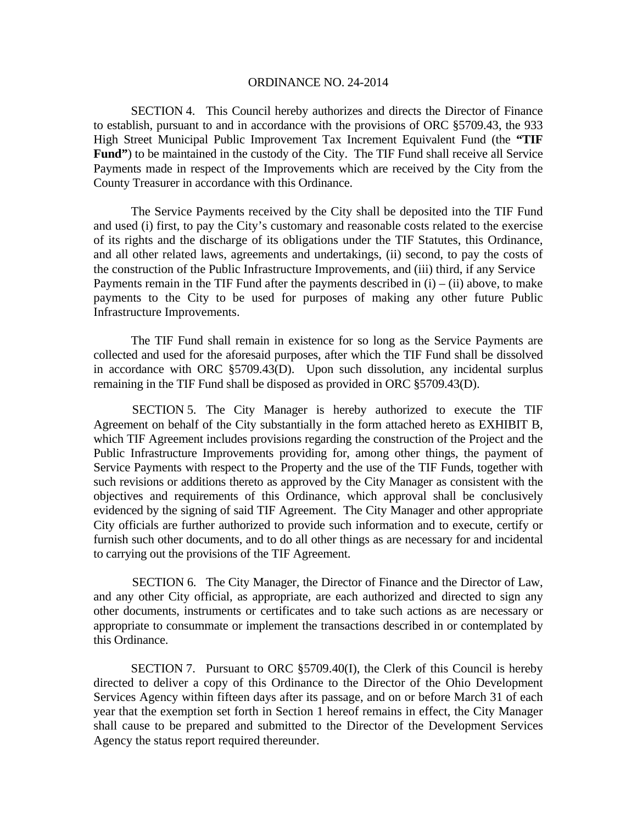SECTION 4. This Council hereby authorizes and directs the Director of Finance to establish, pursuant to and in accordance with the provisions of ORC §5709.43, the 933 High Street Municipal Public Improvement Tax Increment Equivalent Fund (the **"TIF**  Fund") to be maintained in the custody of the City. The TIF Fund shall receive all Service Payments made in respect of the Improvements which are received by the City from the County Treasurer in accordance with this Ordinance.

 The Service Payments received by the City shall be deposited into the TIF Fund and used (i) first, to pay the City's customary and reasonable costs related to the exercise of its rights and the discharge of its obligations under the TIF Statutes, this Ordinance, and all other related laws, agreements and undertakings, (ii) second, to pay the costs of the construction of the Public Infrastructure Improvements, and (iii) third, if any Service Payments remain in the TIF Fund after the payments described in  $(i) - (ii)$  above, to make payments to the City to be used for purposes of making any other future Public Infrastructure Improvements.

 The TIF Fund shall remain in existence for so long as the Service Payments are collected and used for the aforesaid purposes, after which the TIF Fund shall be dissolved in accordance with ORC §5709.43(D). Upon such dissolution, any incidental surplus remaining in the TIF Fund shall be disposed as provided in ORC §5709.43(D).

 SECTION 5. The City Manager is hereby authorized to execute the TIF Agreement on behalf of the City substantially in the form attached hereto as EXHIBIT B, which TIF Agreement includes provisions regarding the construction of the Project and the Public Infrastructure Improvements providing for, among other things, the payment of Service Payments with respect to the Property and the use of the TIF Funds, together with such revisions or additions thereto as approved by the City Manager as consistent with the objectives and requirements of this Ordinance, which approval shall be conclusively evidenced by the signing of said TIF Agreement. The City Manager and other appropriate City officials are further authorized to provide such information and to execute, certify or furnish such other documents, and to do all other things as are necessary for and incidental to carrying out the provisions of the TIF Agreement.

 SECTION 6. The City Manager, the Director of Finance and the Director of Law, and any other City official, as appropriate, are each authorized and directed to sign any other documents, instruments or certificates and to take such actions as are necessary or appropriate to consummate or implement the transactions described in or contemplated by this Ordinance.

SECTION 7. Pursuant to ORC §5709.40(I), the Clerk of this Council is hereby directed to deliver a copy of this Ordinance to the Director of the Ohio Development Services Agency within fifteen days after its passage, and on or before March 31 of each year that the exemption set forth in Section 1 hereof remains in effect, the City Manager shall cause to be prepared and submitted to the Director of the Development Services Agency the status report required thereunder.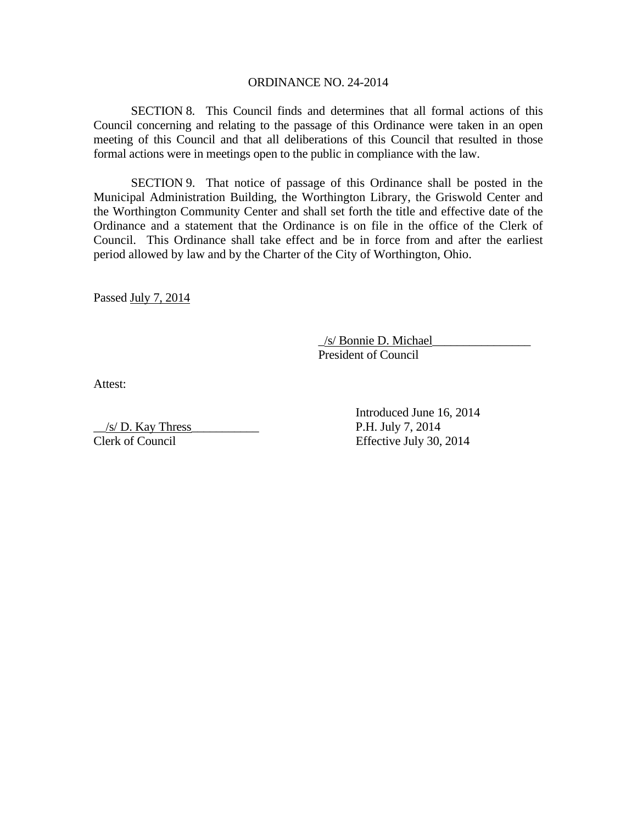SECTION 8. This Council finds and determines that all formal actions of this Council concerning and relating to the passage of this Ordinance were taken in an open meeting of this Council and that all deliberations of this Council that resulted in those formal actions were in meetings open to the public in compliance with the law.

SECTION 9. That notice of passage of this Ordinance shall be posted in the Municipal Administration Building, the Worthington Library, the Griswold Center and the Worthington Community Center and shall set forth the title and effective date of the Ordinance and a statement that the Ordinance is on file in the office of the Clerk of Council. This Ordinance shall take effect and be in force from and after the earliest period allowed by law and by the Charter of the City of Worthington, Ohio.

Passed July 7, 2014

 \_/s/ Bonnie D. Michael\_\_\_\_\_\_\_\_\_\_\_\_\_\_\_\_ President of Council

Attest:

 $\frac{1}{s}$  /s/ D. Kay Thress P.H. July 7, 2014 Clerk of Council Effective July 30, 2014

Introduced June 16, 2014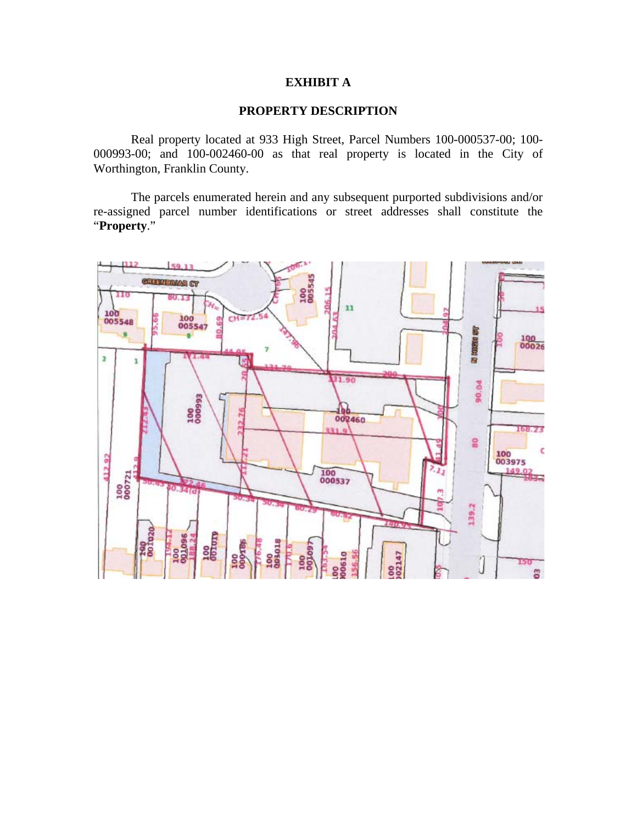## **EXHIBIT A**

## **PROPERTY DESCRIPTION**

 Real property located at 933 High Street, Parcel Numbers 100-000537-00; 100- 000993-00; and 100-002460-00 as that real property is located in the City of Worthington, Franklin County.

 The parcels enumerated herein and any subsequent purported subdivisions and/or re-assigned parcel number identifications or street addresses shall constitute the "**Property**."

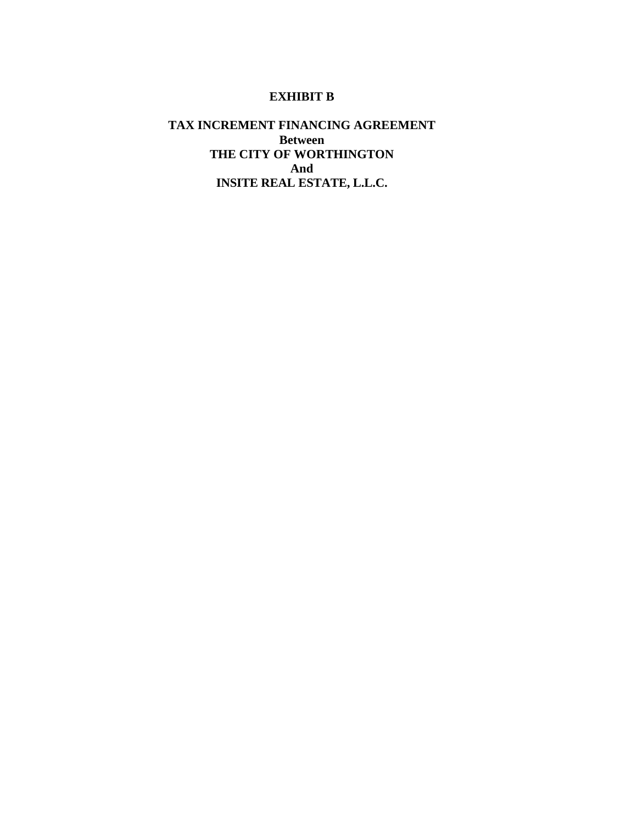# **EXHIBIT B**

# **TAX INCREMENT FINANCING AGREEMENT Between THE CITY OF WORTHINGTON And INSITE REAL ESTATE, L.L.C.**